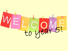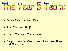

- Cedar Teacher: Miss Martinez
- Palm Teacher: Mr Fox
- Laurel Teacher: Mrs Holmes
- Support: Mrs Anderson, Mrs Rolph, Ms Billson and Mrs Lister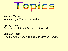

**Autumn Term:** 'Aiming High' (focus on mountains)

**Spring Term:**  'Groovy Greeks' and 'Out of this World'

**Summer Term:**  'The Nature of Storytelling' and 'Rotten Romans'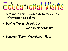# Educational Visits

- **Autumn Term:** Bowles Activity Centre information to follow.
- **Spring Term:** Greek Day Mobile planetarium
- **Summer Term**: Wakehurst Place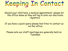

Should your child have a medical appointment, please let the office know as they will log in onto our electronic registers.

If you have a quick query please feel free to contact us via the office.

Please note our staff meetings are generally held on Tuesdays.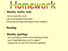### omewor

#### • **Weekly maths task**

-Set on mymaths.co.uk -Log in and password provided -encourage jottings/workings as they complete

• **Reading**

### • **Weekly spellings**

-set according to whole-school spelling scheme -use of spellingframe.co.uk to support -ongoing list of year 5/6 statutory spellings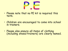

- Please note that no PE kit is required this term.
- Children are encouraged to come into school in trainers.
- Please also ensure all items of clothing (including shoes/trainers) are clearly named.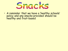

• A reminder that we have a 'healthy schools' policy and any snacks provided should be healthy and fruit-based